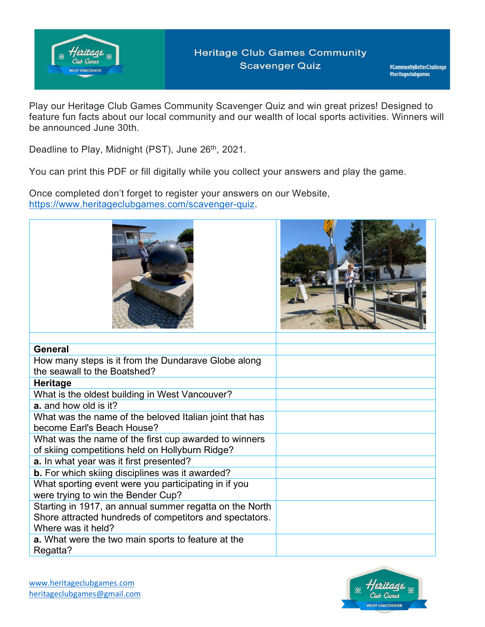

Play our Heritage Club Games Community Scavenger Quiz and win great prizes! Designed to feature fun facts about our local community and our wealth of local sports activities. Winners will be announced June 30th.

Deadline to Play, Midnight (PST), June 26<sup>th</sup>, 2021.

You can print this PDF or fill digitally while you collect your answers and play the game.

Once completed don't forget to register your answers on our Website, [https://www.heritageclubgames.com/scavenger-quiz.](https://www.heritageclubgames.com/scavenger-quiz)





| General                                                   |  |
|-----------------------------------------------------------|--|
| How many steps is it from the Dundarave Globe along       |  |
| the seawall to the Boatshed?                              |  |
| <b>Heritage</b>                                           |  |
| What is the oldest building in West Vancouver?            |  |
| <b>a.</b> and how old is it?                              |  |
| What was the name of the beloved Italian joint that has   |  |
| become Earl's Beach House?                                |  |
| What was the name of the first cup awarded to winners     |  |
| of skiing competitions held on Hollyburn Ridge?           |  |
| a. In what year was it first presented?                   |  |
| <b>b.</b> For which skiing disciplines was it awarded?    |  |
| What sporting event were you participating in if you      |  |
| were trying to win the Bender Cup?                        |  |
| Starting in 1917, an annual summer regatta on the North   |  |
| Shore attracted hundreds of competitors and spectators.   |  |
| Where was it held?                                        |  |
| <b>a.</b> What were the two main sports to feature at the |  |
| Regatta?                                                  |  |

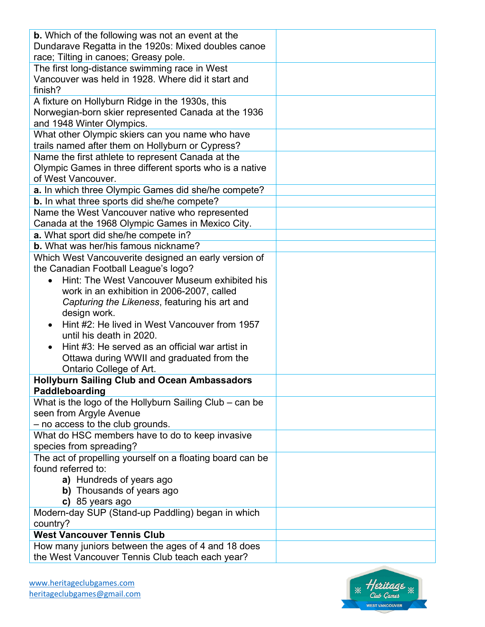| <b>b.</b> Which of the following was not an event at the  |  |
|-----------------------------------------------------------|--|
| Dundarave Regatta in the 1920s: Mixed doubles canoe       |  |
| race; Tilting in canoes; Greasy pole.                     |  |
| The first long-distance swimming race in West             |  |
| Vancouver was held in 1928. Where did it start and        |  |
| finish?                                                   |  |
| A fixture on Hollyburn Ridge in the 1930s, this           |  |
| Norwegian-born skier represented Canada at the 1936       |  |
| and 1948 Winter Olympics.                                 |  |
| What other Olympic skiers can you name who have           |  |
| trails named after them on Hollyburn or Cypress?          |  |
| Name the first athlete to represent Canada at the         |  |
| Olympic Games in three different sports who is a native   |  |
| of West Vancouver.                                        |  |
| a. In which three Olympic Games did she/he compete?       |  |
| <b>b.</b> In what three sports did she/he compete?        |  |
| Name the West Vancouver native who represented            |  |
| Canada at the 1968 Olympic Games in Mexico City.          |  |
| a. What sport did she/he compete in?                      |  |
| <b>b.</b> What was her/his famous nickname?               |  |
| Which West Vancouverite designed an early version of      |  |
| the Canadian Football League's logo?                      |  |
| Hint: The West Vancouver Museum exhibited his             |  |
| work in an exhibition in 2006-2007, called                |  |
| Capturing the Likeness, featuring his art and             |  |
| design work.                                              |  |
| Hint #2: He lived in West Vancouver from 1957             |  |
| until his death in 2020.                                  |  |
| Hint #3: He served as an official war artist in           |  |
| Ottawa during WWII and graduated from the                 |  |
| Ontario College of Art.                                   |  |
| <b>Hollyburn Sailing Club and Ocean Ambassadors</b>       |  |
| Paddleboarding                                            |  |
| What is the logo of the Hollyburn Sailing Club - can be   |  |
| seen from Argyle Avenue                                   |  |
| - no access to the club grounds.                          |  |
| What do HSC members have to do to keep invasive           |  |
| species from spreading?                                   |  |
| The act of propelling yourself on a floating board can be |  |
| found referred to:                                        |  |
| a) Hundreds of years ago                                  |  |
| b) Thousands of years ago                                 |  |
| c) 85 years ago                                           |  |
| Modern-day SUP (Stand-up Paddling) began in which         |  |
| country?                                                  |  |
| <b>West Vancouver Tennis Club</b>                         |  |
| How many juniors between the ages of 4 and 18 does        |  |
| the West Vancouver Tennis Club teach each year?           |  |